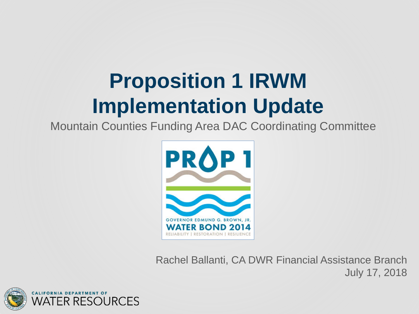### **Proposition 1 IRWM Implementation Update**

Mountain Counties Funding Area DAC Coordinating Committee



Rachel Ballanti, CA DWR Financial Assistance Branch July 17, 2018

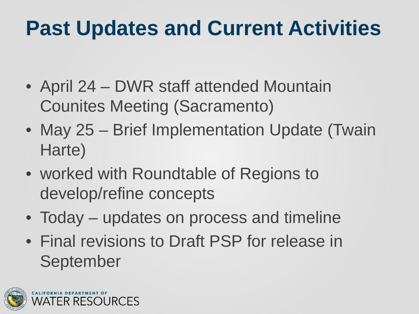#### **Past Updates and Current Activities**

- April 24 DWR staff attended Mountain Counites Meeting (Sacramento)
- May 25 Brief Implementation Update (Twain Harte)
- worked with Roundtable of Regions to develop/refine concepts
- Today updates on process and timeline
- Final revisions to Draft PSP for release in September

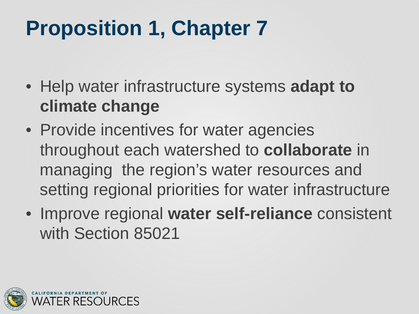# **Proposition 1, Chapter 7**

- Help water infrastructure systems **adapt to climate change**
- Provide incentives for water agencies throughout each watershed to **collaborate** in managing the region's water resources and setting regional priorities for water infrastructure
- Improve regional **water self-reliance** consistent with Section 85021

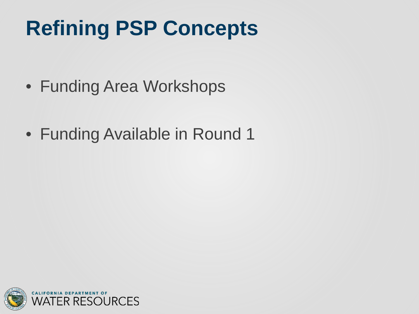# **Refining PSP Concepts**

- Funding Area Workshops
- Funding Available in Round 1

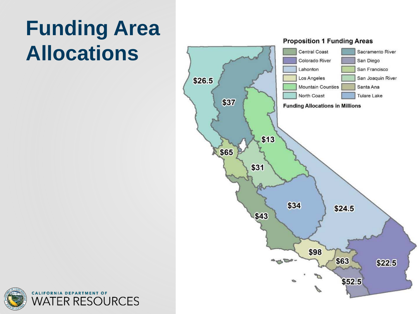# **Funding Area Allocations**



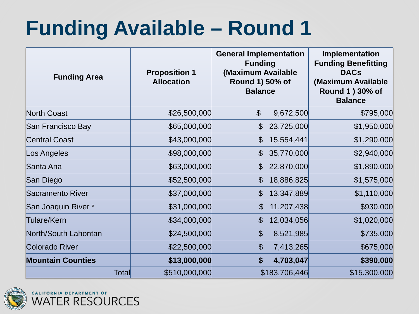### **Funding Available – Round 1**

| <b>Funding Area</b>      | <b>Proposition 1</b><br><b>Allocation</b> | <b>General Implementation</b><br><b>Funding</b><br>(Maximum Available<br>Round 1) 50% of<br><b>Balance</b> |               | <b>Implementation</b><br><b>Funding Benefitting</b><br><b>DACs</b><br>(Maximum Available<br>Round 1 ) 30% of<br><b>Balance</b> |
|--------------------------|-------------------------------------------|------------------------------------------------------------------------------------------------------------|---------------|--------------------------------------------------------------------------------------------------------------------------------|
| North Coast              | \$26,500,000                              | $\boldsymbol{\mathcal{S}}$                                                                                 | 9,672,500     | \$795,000                                                                                                                      |
| San Francisco Bay        | \$65,000,000                              | $\mathcal{L}$                                                                                              | 23,725,000    | \$1,950,000                                                                                                                    |
| <b>Central Coast</b>     | \$43,000,000                              | $\mathcal{S}$                                                                                              | 15,554,441    | \$1,290,000                                                                                                                    |
| Los Angeles              | \$98,000,000                              | $\mathbb{S}$                                                                                               | 35,770,000    | \$2,940,000                                                                                                                    |
| <b>Santa Ana</b>         | \$63,000,000                              | $\mathcal{S}$                                                                                              | 22,870,000    | \$1,890,000                                                                                                                    |
| San Diego                | \$52,500,000                              | $\boldsymbol{\mathcal{S}}$                                                                                 | 18,886,825    | \$1,575,000                                                                                                                    |
| Sacramento River         | \$37,000,000                              | $\mathcal{S}$                                                                                              | 13,347,889    | \$1,110,000                                                                                                                    |
| San Joaquin River *      | \$31,000,000                              | $\mathcal{C}$                                                                                              | 11,207,438    | \$930,000                                                                                                                      |
| Tulare/Kern              | \$34,000,000                              | $\mathcal{L}$                                                                                              | 12,034,056    | \$1,020,000                                                                                                                    |
| North/South Lahontan     | \$24,500,000                              | $\boldsymbol{\theta}$                                                                                      | 8,521,985     | \$735,000                                                                                                                      |
| Colorado River           | \$22,500,000                              | $\boldsymbol{\mathcal{L}}$                                                                                 | 7,413,265     | \$675,000                                                                                                                      |
| <b>Mountain Counties</b> | \$13,000,000                              | $\boldsymbol{\theta}$                                                                                      | 4,703,047     | \$390,000                                                                                                                      |
| Total                    | \$510,000,000                             |                                                                                                            | \$183,706,446 | \$15,300,000                                                                                                                   |

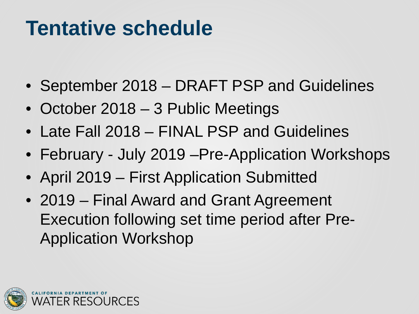#### **Tentative schedule**

- September 2018 DRAFT PSP and Guidelines
- October 2018 3 Public Meetings
- Late Fall 2018 FINAL PSP and Guidelines
- February July 2019 Pre-Application Workshops
- April 2019 First Application Submitted
- 2019 Final Award and Grant Agreement Execution following set time period after Pre-Application Workshop